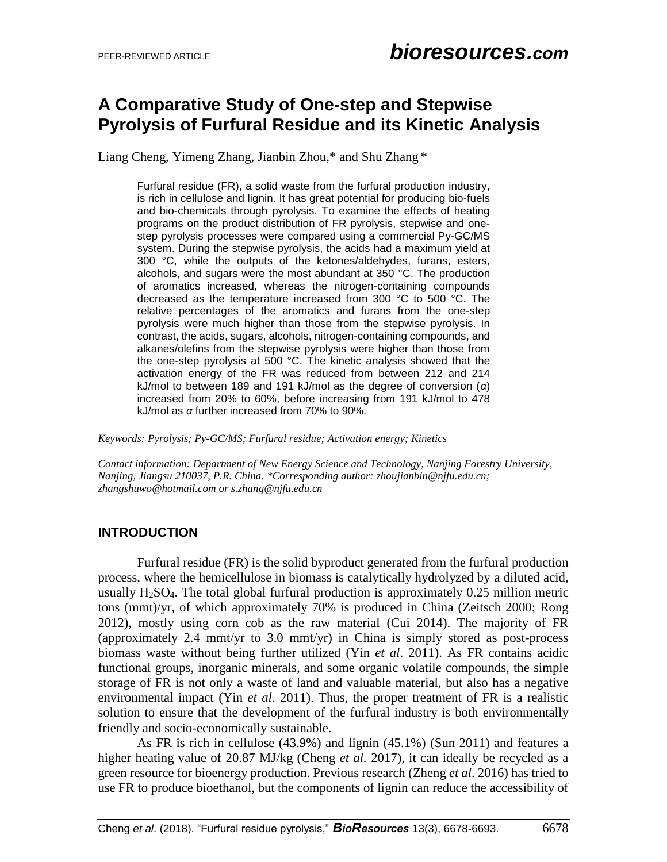## **A Comparative Study of One-step and Stepwise Pyrolysis of Furfural Residue and its Kinetic Analysis**

Liang Cheng, Yimeng Zhang, Jianbin Zhou,\* and Shu Zhang \*

Furfural residue (FR), a solid waste from the furfural production industry, is rich in cellulose and lignin. It has great potential for producing bio-fuels and bio-chemicals through pyrolysis. To examine the effects of heating programs on the product distribution of FR pyrolysis, stepwise and onestep pyrolysis processes were compared using a commercial Py-GC/MS system. During the stepwise pyrolysis, the acids had a maximum yield at 300 °C, while the outputs of the ketones/aldehydes, furans, esters, alcohols, and sugars were the most abundant at 350 °C. The production of aromatics increased, whereas the nitrogen-containing compounds decreased as the temperature increased from 300 °C to 500 °C. The relative percentages of the aromatics and furans from the one-step pyrolysis were much higher than those from the stepwise pyrolysis. In contrast, the acids, sugars, alcohols, nitrogen-containing compounds, and alkanes/olefins from the stepwise pyrolysis were higher than those from the one-step pyrolysis at 500 °C. The kinetic analysis showed that the activation energy of the FR was reduced from between 212 and 214 kJ/mol to between 189 and 191 kJ/mol as the degree of conversion (*α*) increased from 20% to 60%, before increasing from 191 kJ/mol to 478 kJ/mol as *α* further increased from 70% to 90%.

*Keywords: Pyrolysis; Py-GC/MS; Furfural residue; Activation energy; Kinetics*

*Contact information: Department of New Energy Science and Technology, Nanjing Forestry University, Nanjing, Jiangsu 210037, P.R. China. \*Corresponding author: zhoujianbin@njfu.edu.cn; zhangshuwo@hotmail.com or s.zhang@njfu.edu.cn*

## **INTRODUCTION**

Furfural residue (FR) is the solid byproduct generated from the furfural production process, where the hemicellulose in biomass is catalytically hydrolyzed by a diluted acid, usually  $H<sub>2</sub>SO<sub>4</sub>$ . The total global furfural production is approximately 0.25 million metric tons (mmt)/yr, of which approximately 70% is produced in China (Zeitsch 2000; Rong 2012), mostly using corn cob as the raw material (Cui 2014). The majority of FR (approximately 2.4 mmt/yr to 3.0 mmt/yr) in China is simply stored as post-process biomass waste without being further utilized (Yin *et al*. 2011). As FR contains acidic functional groups, inorganic minerals, and some organic volatile compounds, the simple storage of FR is not only a waste of land and valuable material, but also has a negative environmental impact (Yin *et al*. 2011). Thus, the proper treatment of FR is a realistic solution to ensure that the development of the furfural industry is both environmentally friendly and socio-economically sustainable.

As FR is rich in cellulose (43.9%) and lignin (45.1%) (Sun 2011) and features a higher heating value of 20.87 MJ/kg (Cheng *et al.* 2017), it can ideally be recycled as a green resource for bioenergy production. Previous research (Zheng *et al*. 2016) has tried to use FR to produce bioethanol, but the components of lignin can reduce the accessibility of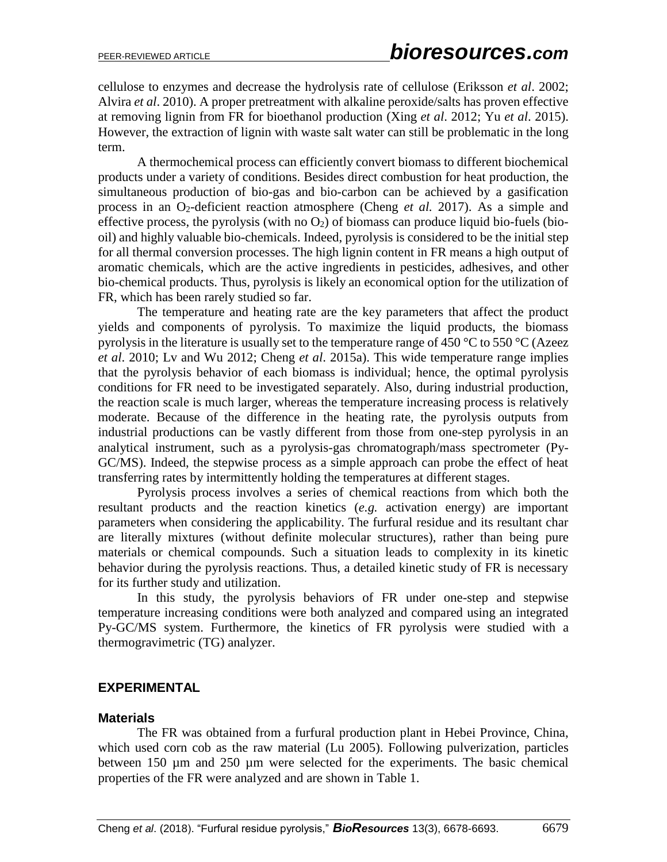cellulose to enzymes and decrease the hydrolysis rate of cellulose (Eriksson *et al*. 2002; Alvira *et al*. 2010). A proper pretreatment with alkaline peroxide/salts has proven effective at removing lignin from FR for bioethanol production (Xing *et al*. 2012; Yu *et al*. 2015). However, the extraction of lignin with waste salt water can still be problematic in the long term.

A thermochemical process can efficiently convert biomass to different biochemical products under a variety of conditions. Besides direct combustion for heat production, the simultaneous production of bio-gas and bio-carbon can be achieved by a gasification process in an O2-deficient reaction atmosphere (Cheng *et al.* 2017). As a simple and effective process, the pyrolysis (with no  $O_2$ ) of biomass can produce liquid bio-fuels (biooil) and highly valuable bio-chemicals. Indeed, pyrolysis is considered to be the initial step for all thermal conversion processes. The high lignin content in FR means a high output of aromatic chemicals, which are the active ingredients in pesticides, adhesives, and other bio-chemical products. Thus, pyrolysis is likely an economical option for the utilization of FR, which has been rarely studied so far.

The temperature and heating rate are the key parameters that affect the product yields and components of pyrolysis. To maximize the liquid products, the biomass pyrolysis in the literature is usually set to the temperature range of 450 °C to 550 °C (Azeez *et al*. 2010; Lv and Wu 2012; Cheng *et al*. 2015a). This wide temperature range implies that the pyrolysis behavior of each biomass is individual; hence, the optimal pyrolysis conditions for FR need to be investigated separately. Also, during industrial production, the reaction scale is much larger, whereas the temperature increasing process is relatively moderate. Because of the difference in the heating rate, the pyrolysis outputs from industrial productions can be vastly different from those from one-step pyrolysis in an analytical instrument, such as a pyrolysis-gas chromatograph/mass spectrometer (Py-GC/MS). Indeed, the stepwise process as a simple approach can probe the effect of heat transferring rates by intermittently holding the temperatures at different stages.

Pyrolysis process involves a series of chemical reactions from which both the resultant products and the reaction kinetics (*e.g.* activation energy) are important parameters when considering the applicability. The furfural residue and its resultant char are literally mixtures (without definite molecular structures), rather than being pure materials or chemical compounds. Such a situation leads to complexity in its kinetic behavior during the pyrolysis reactions. Thus, a detailed kinetic study of FR is necessary for its further study and utilization.

In this study, the pyrolysis behaviors of FR under one-step and stepwise temperature increasing conditions were both analyzed and compared using an integrated Py-GC/MS system. Furthermore, the kinetics of FR pyrolysis were studied with a thermogravimetric (TG) analyzer.

## **EXPERIMENTAL**

#### **Materials**

The FR was obtained from a furfural production plant in Hebei Province, China, which used corn cob as the raw material (Lu 2005). Following pulverization, particles between 150 µm and 250 µm were selected for the experiments. The basic chemical properties of the FR were analyzed and are shown in Table 1.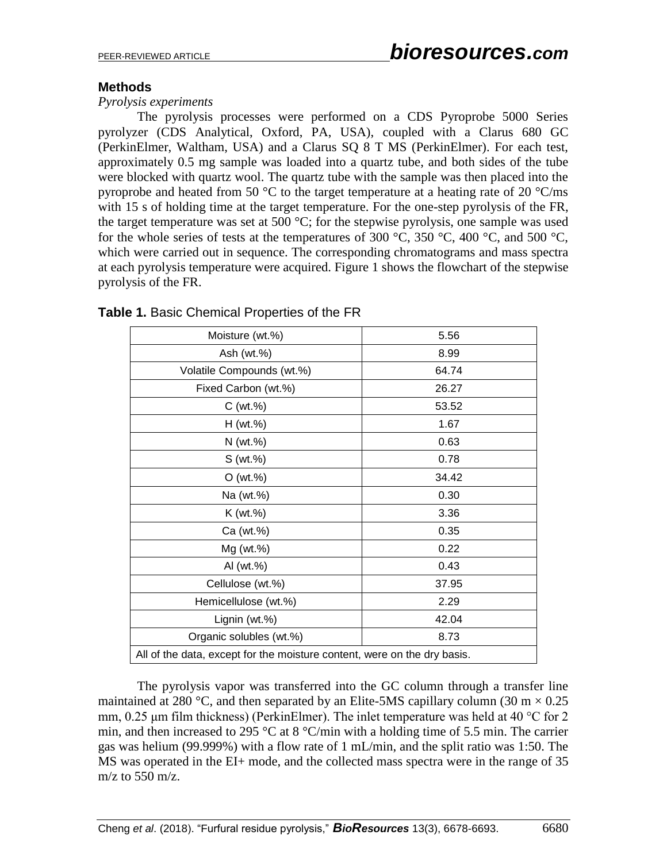## **Methods**

#### *Pyrolysis experiments*

The pyrolysis processes were performed on a CDS Pyroprobe 5000 Series pyrolyzer (CDS Analytical, Oxford, PA, USA), coupled with a Clarus 680 GC (PerkinElmer, Waltham, USA) and a Clarus SQ 8 T MS (PerkinElmer). For each test, approximately 0.5 mg sample was loaded into a quartz tube, and both sides of the tube were blocked with quartz wool. The quartz tube with the sample was then placed into the pyroprobe and heated from 50  $\degree$ C to the target temperature at a heating rate of 20  $\degree$ C/ms with 15 s of holding time at the target temperature. For the one-step pyrolysis of the FR, the target temperature was set at 500  $^{\circ}$ C; for the stepwise pyrolysis, one sample was used for the whole series of tests at the temperatures of 300 °C, 350 °C, 400 °C, and 500 °C, which were carried out in sequence. The corresponding chromatograms and mass spectra at each pyrolysis temperature were acquired. Figure 1 shows the flowchart of the stepwise pyrolysis of the FR.

| Moisture (wt.%)                                                          | 5.56  |  |  |  |  |
|--------------------------------------------------------------------------|-------|--|--|--|--|
| Ash (wt.%)                                                               | 8.99  |  |  |  |  |
| Volatile Compounds (wt.%)                                                | 64.74 |  |  |  |  |
| Fixed Carbon (wt.%)                                                      | 26.27 |  |  |  |  |
| C (wt.%)                                                                 | 53.52 |  |  |  |  |
| H (wt.%)                                                                 | 1.67  |  |  |  |  |
| $N$ (wt.%)                                                               | 0.63  |  |  |  |  |
| S(wt.%)                                                                  | 0.78  |  |  |  |  |
| O (wt.%)                                                                 | 34.42 |  |  |  |  |
| Na (wt.%)                                                                | 0.30  |  |  |  |  |
| K (wt.%)                                                                 | 3.36  |  |  |  |  |
| Ca (wt.%)                                                                | 0.35  |  |  |  |  |
| Mg (wt.%)                                                                | 0.22  |  |  |  |  |
| AI (wt.%)                                                                | 0.43  |  |  |  |  |
| Cellulose (wt.%)                                                         | 37.95 |  |  |  |  |
| Hemicellulose (wt.%)                                                     | 2.29  |  |  |  |  |
| Lignin (wt.%)                                                            | 42.04 |  |  |  |  |
| Organic solubles (wt.%)                                                  | 8.73  |  |  |  |  |
| All of the data, except for the moisture content, were on the dry basis. |       |  |  |  |  |
|                                                                          |       |  |  |  |  |

#### **Table 1.** Basic Chemical Properties of the FR

The pyrolysis vapor was transferred into the GC column through a transfer line maintained at 280 °C, and then separated by an Elite-5MS capillary column (30 m  $\times$  0.25 mm,  $0.25 \mu m$  film thickness) (PerkinElmer). The inlet temperature was held at 40 °C for 2 min, and then increased to 295 °C at 8 °C/min with a holding time of 5.5 min. The carrier gas was helium (99.999%) with a flow rate of 1 mL/min, and the split ratio was 1:50. The MS was operated in the EI+ mode, and the collected mass spectra were in the range of 35 m/z to  $550$  m/z.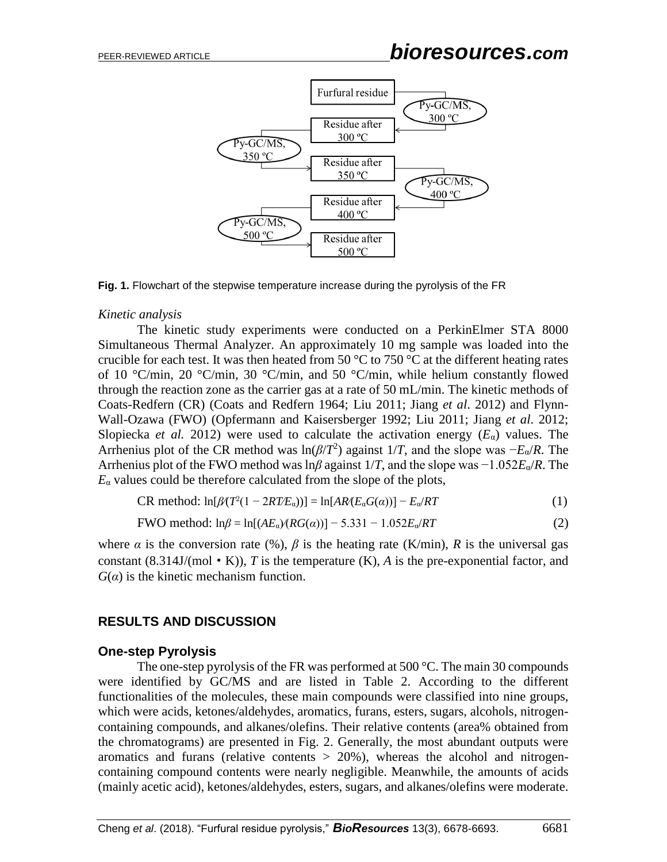



#### *Kinetic analysis*

The kinetic study experiments were conducted on a PerkinElmer STA 8000 Simultaneous Thermal Analyzer. An approximately 10 mg sample was loaded into the crucible for each test. It was then heated from 50  $\degree$ C to 750  $\degree$ C at the different heating rates of 10 °C/min, 20 °C/min, 30 °C/min, and 50 °C/min, while helium constantly flowed through the reaction zone as the carrier gas at a rate of 50 mL/min. The kinetic methods of Coats-Redfern (CR) (Coats and Redfern 1964; Liu 2011; Jiang *et al*. 2012) and Flynn-Wall-Ozawa (FWO) (Opfermann and Kaisersberger 1992; Liu 2011; Jiang *et al*. 2012; Slopiecka *et al.* 2012) were used to calculate the activation energy  $(E_{\alpha})$  values. The Arrhenius plot of the CR method was ln(*β*/*T* 2 ) against 1/*T*, and the slope was −*E*α/*R*. The Arrhenius plot of the FWO method was ln*β* against 1/*T*, and the slope was −1.052*E*α/*R*. The  $E_a$  values could be therefore calculated from the slope of the plots,

$$
CR method: ln[ $\beta$ (T<sup>2</sup>(1 - 2RT/E<sub>a</sub>))] = ln[ $AR(E_aG(a)$ )] - E_a/RT
$$
 (1)

$$
FWO method: \ln \beta = \ln[(AE_{\alpha}) (RG(\alpha))] - 5.331 - 1.052E_{\alpha}/RT \tag{2}
$$

where  $\alpha$  is the conversion rate (%),  $\beta$  is the heating rate (K/min),  $R$  is the universal gas constant  $(8.314J/(mol \cdot K))$ , *T* is the temperature  $(K)$ , *A* is the pre-exponential factor, and  $G(\alpha)$  is the kinetic mechanism function.

#### **RESULTS AND DISCUSSION**

#### **One-step Pyrolysis**

The one-step pyrolysis of the FR was performed at 500 °C. The main 30 compounds were identified by GC/MS and are listed in Table 2. According to the different functionalities of the molecules, these main compounds were classified into nine groups, which were acids, ketones/aldehydes, aromatics, furans, esters, sugars, alcohols, nitrogencontaining compounds, and alkanes/olefins. Their relative contents (area% obtained from the chromatograms) are presented in Fig. 2. Generally, the most abundant outputs were aromatics and furans (relative contents  $> 20\%$ ), whereas the alcohol and nitrogencontaining compound contents were nearly negligible. Meanwhile, the amounts of acids (mainly acetic acid), ketones/aldehydes, esters, sugars, and alkanes/olefins were moderate.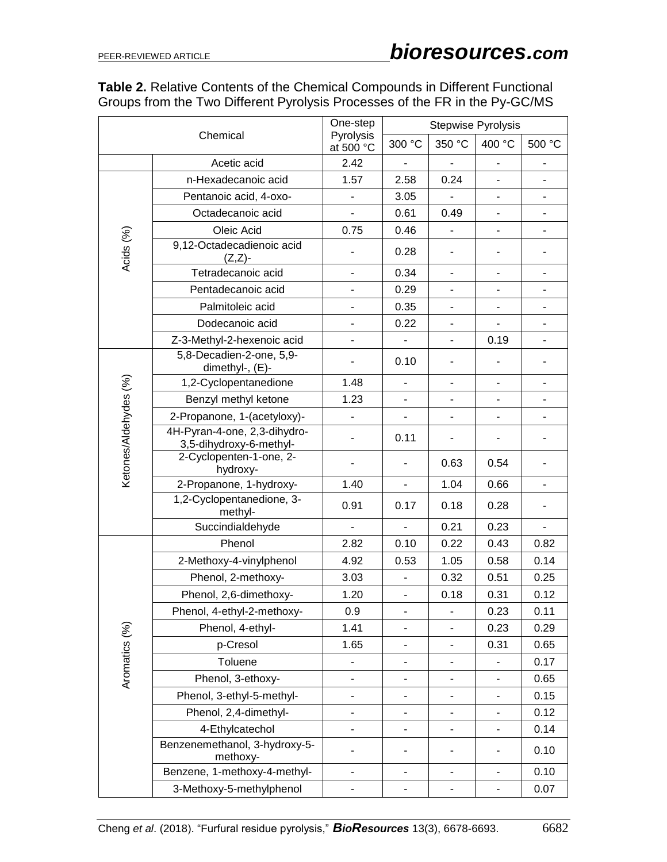## **Table 2.** Relative Contents of the Chemical Compounds in Different Functional Groups from the Two Different Pyrolysis Processes of the FR in the Py-GC/MS

| Chemical              |                                                         | One-step                     | <b>Stepwise Pyrolysis</b>    |                              |                              |                          |
|-----------------------|---------------------------------------------------------|------------------------------|------------------------------|------------------------------|------------------------------|--------------------------|
|                       |                                                         | Pyrolysis<br>at 500 °C       | 300 °C                       | 350 °C                       | 400 °C                       | 500 °C                   |
|                       | Acetic acid                                             | 2.42                         |                              | $\overline{\phantom{a}}$     |                              |                          |
|                       | n-Hexadecanoic acid                                     | 1.57                         | 2.58                         | 0.24                         |                              |                          |
|                       | Pentanoic acid, 4-oxo-                                  | $\overline{\phantom{0}}$     | 3.05                         | $\overline{a}$               | $\blacksquare$               | $\overline{\phantom{0}}$ |
|                       | Octadecanoic acid                                       |                              | 0.61                         | 0.49                         |                              |                          |
|                       | Oleic Acid                                              | 0.75                         | 0.46                         | $\frac{1}{2}$                |                              | $\overline{\phantom{0}}$ |
| Acids (%)             | 9,12-Octadecadienoic acid<br>$(Z,Z)$ -                  |                              | 0.28                         |                              |                              |                          |
|                       | Tetradecanoic acid                                      | $\blacksquare$               | 0.34                         | $\overline{\phantom{a}}$     |                              | -                        |
|                       | Pentadecanoic acid                                      |                              | 0.29                         | $\overline{\phantom{a}}$     |                              | ٠                        |
|                       | Palmitoleic acid                                        | $\overline{\phantom{a}}$     | 0.35                         | $\overline{\phantom{0}}$     |                              | ä,                       |
|                       | Dodecanoic acid                                         | ٠                            | 0.22                         | ۰                            |                              |                          |
|                       | Z-3-Methyl-2-hexenoic acid                              | ٠                            | $\blacksquare$               | $\blacksquare$               | 0.19                         | $\overline{\phantom{0}}$ |
|                       | 5,8-Decadien-2-one, 5,9-<br>dimethyl-, (E)-             |                              | 0.10                         | ٠                            |                              |                          |
|                       | 1,2-Cyclopentanedione                                   | 1.48                         | $\blacksquare$               | $\qquad \qquad \blacksquare$ |                              | -                        |
|                       | Benzyl methyl ketone                                    | 1.23                         | $\overline{\phantom{a}}$     |                              |                              | $\overline{\phantom{0}}$ |
|                       | 2-Propanone, 1-(acetyloxy)-                             | -                            | $\qquad \qquad \blacksquare$ | -                            | $\qquad \qquad \blacksquare$ |                          |
| Ketones/Aldehydes (%) | 4H-Pyran-4-one, 2,3-dihydro-<br>3,5-dihydroxy-6-methyl- |                              | 0.11                         |                              |                              |                          |
|                       | 2-Cyclopenten-1-one, 2-<br>hydroxy-                     |                              |                              | 0.63                         | 0.54                         |                          |
|                       | 2-Propanone, 1-hydroxy-                                 | 1.40                         | $\overline{\phantom{a}}$     | 1.04                         | 0.66                         | ÷,                       |
|                       | 1,2-Cyclopentanedione, 3-<br>methyl-                    | 0.91                         | 0.17                         | 0.18                         | 0.28                         |                          |
|                       | Succindialdehyde                                        | $\overline{\phantom{0}}$     |                              | 0.21                         | 0.23                         | $\blacksquare$           |
|                       | Phenol                                                  | 2.82                         | 0.10                         | 0.22                         | 0.43                         | 0.82                     |
|                       | 2-Methoxy-4-vinylphenol                                 | 4.92                         | 0.53                         | 1.05                         | 0.58                         | 0.14                     |
|                       | Phenol, 2-methoxy-                                      | 3.03                         |                              | 0.32                         | 0.51                         | 0.25                     |
|                       | Phenol, 2,6-dimethoxy-                                  | 1.20                         | $\blacksquare$               | 0.18                         | 0.31                         | 0.12                     |
|                       | Phenol, 4-ethyl-2-methoxy-                              | 0.9                          | $\qquad \qquad \blacksquare$ |                              | 0.23                         | 0.11                     |
|                       | Phenol, 4-ethyl-                                        | 1.41                         |                              |                              | 0.23                         | 0.29                     |
|                       | p-Cresol                                                | 1.65                         | $\qquad \qquad \blacksquare$ | $\overline{\phantom{0}}$     | 0.31                         | 0.65                     |
| Aromatics (%)         | Toluene                                                 |                              | $\overline{\phantom{a}}$     | -                            |                              | 0.17                     |
|                       | Phenol, 3-ethoxy-                                       | $\overline{\phantom{0}}$     | $\blacksquare$               | $\overline{\phantom{0}}$     |                              | 0.65                     |
|                       | Phenol, 3-ethyl-5-methyl-                               | -                            |                              | -                            |                              | 0.15                     |
|                       | Phenol, 2,4-dimethyl-                                   | -                            | $\overline{\phantom{a}}$     | ٠                            | $\overline{\phantom{a}}$     | 0.12                     |
|                       | 4-Ethylcatechol                                         | ۰                            | $\overline{\phantom{0}}$     | ۰                            |                              | 0.14                     |
|                       | Benzenemethanol, 3-hydroxy-5-<br>methoxy-               | -                            |                              | ٠                            |                              | 0.10                     |
|                       | Benzene, 1-methoxy-4-methyl-                            | $\qquad \qquad \blacksquare$ | $\overline{\phantom{0}}$     | $\overline{\phantom{0}}$     | $\blacksquare$               | 0.10                     |
|                       | 3-Methoxy-5-methylphenol                                | -                            | $\overline{\phantom{a}}$     | $\overline{\phantom{0}}$     | $\blacksquare$               | 0.07                     |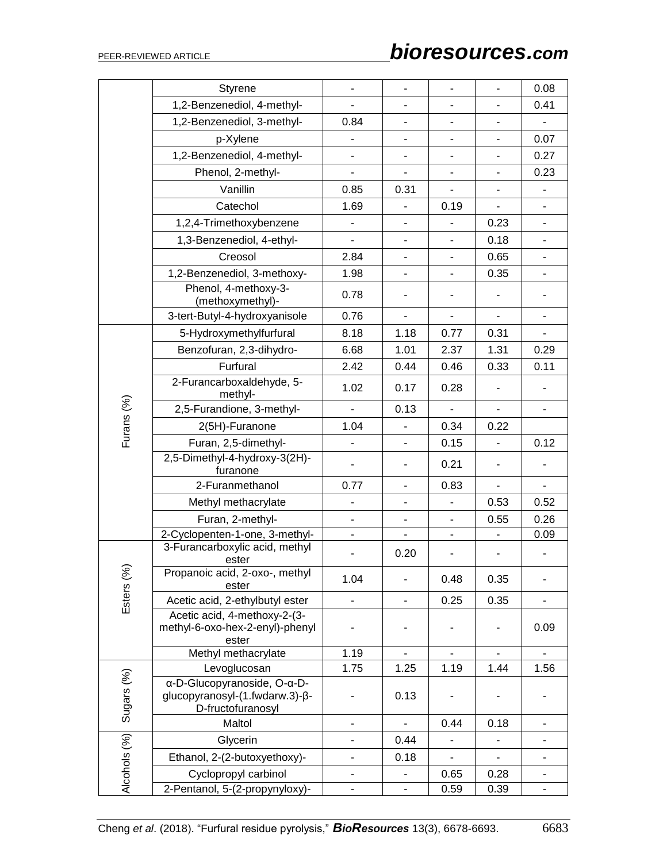# PEER-REVIEWED ARTICLE *bioresources.com*

|              | Styrene                                                                            | $\blacksquare$               | $\overline{a}$               | ÷.                           | $\overline{a}$           | 0.08                     |
|--------------|------------------------------------------------------------------------------------|------------------------------|------------------------------|------------------------------|--------------------------|--------------------------|
|              | 1,2-Benzenediol, 4-methyl-                                                         |                              | $\overline{a}$               | $\overline{\phantom{a}}$     |                          | 0.41                     |
|              | 1,2-Benzenediol, 3-methyl-                                                         | 0.84                         | $\overline{\phantom{a}}$     | $\blacksquare$               |                          |                          |
|              | p-Xylene                                                                           | $\overline{\phantom{0}}$     | $\overline{\phantom{0}}$     | $\blacksquare$               | $\blacksquare$           | 0.07                     |
|              | 1,2-Benzenediol, 4-methyl-                                                         | $\qquad \qquad \blacksquare$ |                              | $\qquad \qquad \blacksquare$ |                          | 0.27                     |
|              | Phenol, 2-methyl-                                                                  | $\overline{\phantom{0}}$     | $\overline{\phantom{a}}$     | $\blacksquare$               |                          | 0.23                     |
|              | Vanillin                                                                           | 0.85                         | 0.31                         | $\blacksquare$               |                          |                          |
|              | Catechol                                                                           | 1.69                         |                              | 0.19                         |                          |                          |
|              | 1,2,4-Trimethoxybenzene                                                            | $\overline{\phantom{a}}$     | $\overline{\phantom{a}}$     | $\overline{\phantom{a}}$     | 0.23                     | $\overline{\phantom{0}}$ |
|              | 1,3-Benzenediol, 4-ethyl-                                                          | $\qquad \qquad \blacksquare$ |                              | $\blacksquare$               | 0.18                     | $\overline{\phantom{0}}$ |
|              | Creosol                                                                            | 2.84                         |                              | $\overline{\phantom{0}}$     | 0.65                     |                          |
|              | 1,2-Benzenediol, 3-methoxy-                                                        | 1.98                         | $\blacksquare$               | $\blacksquare$               | 0.35                     | $\overline{\phantom{0}}$ |
|              | Phenol, 4-methoxy-3-<br>(methoxymethyl)-                                           | 0.78                         | $\overline{\phantom{0}}$     | $\overline{\phantom{a}}$     |                          |                          |
|              | 3-tert-Butyl-4-hydroxyanisole                                                      | 0.76                         | $\blacksquare$               | $\blacksquare$               |                          | ÷,                       |
|              | 5-Hydroxymethylfurfural                                                            | 8.18                         | 1.18                         | 0.77                         | 0.31                     | ÷.                       |
|              | Benzofuran, 2,3-dihydro-                                                           | 6.68                         | 1.01                         | 2.37                         | 1.31                     | 0.29                     |
|              | Furfural                                                                           | 2.42                         | 0.44                         | 0.46                         | 0.33                     | 0.11                     |
|              | 2-Furancarboxaldehyde, 5-<br>methyl-                                               | 1.02                         | 0.17                         | 0.28                         |                          |                          |
| Furans (%)   | 2,5-Furandione, 3-methyl-                                                          |                              | 0.13                         |                              |                          |                          |
|              | 2(5H)-Furanone                                                                     | 1.04                         |                              | 0.34                         | 0.22                     |                          |
|              | Furan, 2,5-dimethyl-                                                               |                              |                              | 0.15                         |                          | 0.12                     |
|              | 2,5-Dimethyl-4-hydroxy-3(2H)-<br>furanone                                          | $\overline{\phantom{a}}$     |                              | 0.21                         |                          |                          |
|              | 2-Furanmethanol                                                                    | 0.77                         | $\overline{a}$               | 0.83                         | $\overline{\phantom{0}}$ | ÷.                       |
|              | Methyl methacrylate                                                                | $\overline{\phantom{m}}$     | $\frac{1}{2}$                | $\overline{\phantom{a}}$     | 0.53                     | 0.52                     |
|              | Furan, 2-methyl-                                                                   |                              |                              | ÷.                           | 0.55                     | 0.26                     |
|              | 2-Cyclopenten-1-one, 3-methyl-                                                     | $\overline{\phantom{a}}$     | $\qquad \qquad \blacksquare$ | $\qquad \qquad \blacksquare$ |                          | 0.09                     |
|              | 3-Furancarboxylic acid, methyl<br>ester                                            |                              | 0.20                         |                              |                          |                          |
| Esters (%)   | Propanoic acid, 2-oxo-, methyl<br>ester                                            | 1.04                         | $\overline{\phantom{0}}$     | 0.48                         | 0.35                     |                          |
|              | Acetic acid, 2-ethylbutyl ester                                                    |                              | $\overline{\phantom{0}}$     | 0.25                         | 0.35                     |                          |
|              | Acetic acid, 4-methoxy-2-(3-<br>methyl-6-oxo-hex-2-enyl)-phenyl<br>ester           |                              |                              |                              |                          | 0.09                     |
|              | Methyl methacrylate                                                                | 1.19                         |                              |                              |                          |                          |
|              | Levoglucosan                                                                       | 1.75                         | 1.25                         | 1.19                         | 1.44                     | 1.56                     |
| Sugars (%)   | α-D-Glucopyranoside, O-α-D-<br>glucopyranosyl-(1.fwdarw.3)-β-<br>D-fructofuranosyl |                              | 0.13                         |                              |                          |                          |
|              | Maltol                                                                             | $\overline{\phantom{0}}$     | $\blacksquare$               | 0.44                         | 0.18                     | $\overline{\phantom{0}}$ |
|              | Glycerin                                                                           | $\qquad \qquad \blacksquare$ | 0.44                         |                              |                          |                          |
|              | Ethanol, 2-(2-butoxyethoxy)-                                                       | $\overline{\phantom{a}}$     | 0.18                         | $\blacksquare$               |                          |                          |
| Alcohols (%) | Cyclopropyl carbinol                                                               |                              |                              | 0.65                         | 0.28                     |                          |
|              | 2-Pentanol, 5-(2-propynyloxy)-                                                     | $\qquad \qquad \blacksquare$ | $\overline{\phantom{a}}$     | 0.59                         | 0.39                     | ۰                        |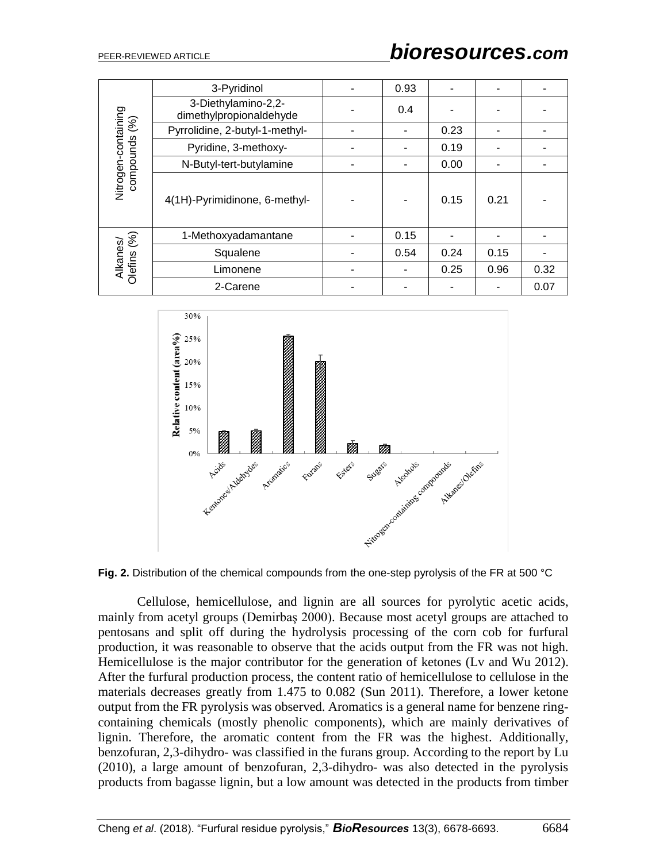|                                      | 3-Pyridinol                                    | 0.93 |      |      |      |
|--------------------------------------|------------------------------------------------|------|------|------|------|
|                                      | 3-Diethylamino-2,2-<br>dimethylpropionaldehyde | 0.4  |      |      |      |
|                                      | Pyrrolidine, 2-butyl-1-methyl-                 |      | 0.23 |      |      |
|                                      | Pyridine, 3-methoxy-                           |      | 0.19 |      |      |
|                                      | N-Butyl-tert-butylamine                        |      | 0.00 |      |      |
| Nitrogen-containing<br>compounds (%) | 4(1H)-Pyrimidinone, 6-methyl-                  |      | 0.15 | 0.21 |      |
|                                      | 1-Methoxyadamantane                            | 0.15 |      |      |      |
| Alkanes/<br>Olefins (%)              | Squalene                                       | 0.54 | 0.24 | 0.15 |      |
|                                      | Limonene                                       |      | 0.25 | 0.96 | 0.32 |
|                                      | 2-Carene                                       |      |      |      | 0.07 |



**Fig. 2.** Distribution of the chemical compounds from the one-step pyrolysis of the FR at 500 °C

Cellulose, hemicellulose, and lignin are all sources for pyrolytic acetic acids, mainly from acetyl groups (Demirbaş 2000). Because most acetyl groups are attached to pentosans and split off during the hydrolysis processing of the corn cob for furfural production, it was reasonable to observe that the acids output from the FR was not high. Hemicellulose is the major contributor for the generation of ketones (Lv and Wu 2012). After the furfural production process, the content ratio of hemicellulose to cellulose in the materials decreases greatly from 1.475 to 0.082 (Sun 2011). Therefore, a lower ketone output from the FR pyrolysis was observed. Aromatics is a general name for benzene ringcontaining chemicals (mostly phenolic components), which are mainly derivatives of lignin. Therefore, the aromatic content from the FR was the highest. Additionally, benzofuran, 2,3-dihydro- was classified in the furans group. According to the report by Lu (2010), a large amount of benzofuran, 2,3-dihydro- was also detected in the pyrolysis products from bagasse lignin, but a low amount was detected in the products from timber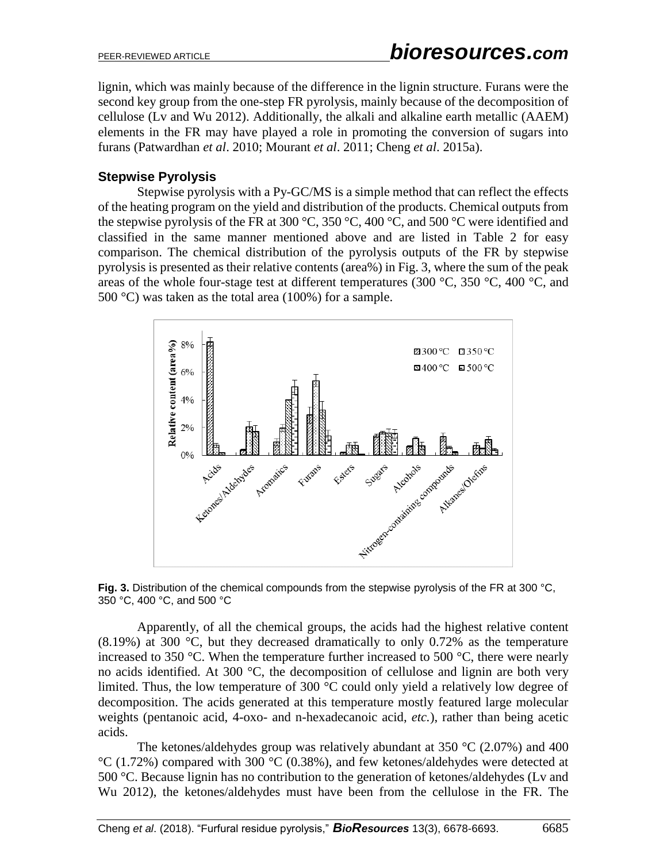lignin, which was mainly because of the difference in the lignin structure. Furans were the second key group from the one-step FR pyrolysis, mainly because of the decomposition of cellulose (Lv and Wu 2012). Additionally, the alkali and alkaline earth metallic (AAEM) elements in the FR may have played a role in promoting the conversion of sugars into furans (Patwardhan *et al*. 2010; Mourant *et al*. 2011; Cheng *et al*. 2015a).

## **Stepwise Pyrolysis**

Stepwise pyrolysis with a Py-GC/MS is a simple method that can reflect the effects of the heating program on the yield and distribution of the products. Chemical outputs from the stepwise pyrolysis of the FR at 300 °C, 350 °C, 400 °C, and 500 °C were identified and classified in the same manner mentioned above and are listed in Table 2 for easy comparison. The chemical distribution of the pyrolysis outputs of the FR by stepwise pyrolysis is presented as their relative contents (area%) in Fig. 3, where the sum of the peak areas of the whole four-stage test at different temperatures (300  $^{\circ}$ C, 350  $^{\circ}$ C, 400  $^{\circ}$ C, and 500 °C) was taken as the total area (100%) for a sample.





Apparently, of all the chemical groups, the acids had the highest relative content  $(8.19%)$  at 300 °C, but they decreased dramatically to only 0.72% as the temperature increased to 350  $\degree$ C. When the temperature further increased to 500  $\degree$ C, there were nearly no acids identified. At 300 $^{\circ}$ C, the decomposition of cellulose and lignin are both very limited. Thus, the low temperature of 300 °C could only yield a relatively low degree of decomposition. The acids generated at this temperature mostly featured large molecular weights (pentanoic acid, 4-oxo- and n-hexadecanoic acid, *etc.*), rather than being acetic acids.

The ketones/aldehydes group was relatively abundant at 350  $\degree$ C (2.07%) and 400  $°C$  (1.72%) compared with 300  $°C$  (0.38%), and few ketones/aldehydes were detected at 500 °C. Because lignin has no contribution to the generation of ketones/aldehydes (Lv and Wu 2012), the ketones/aldehydes must have been from the cellulose in the FR. The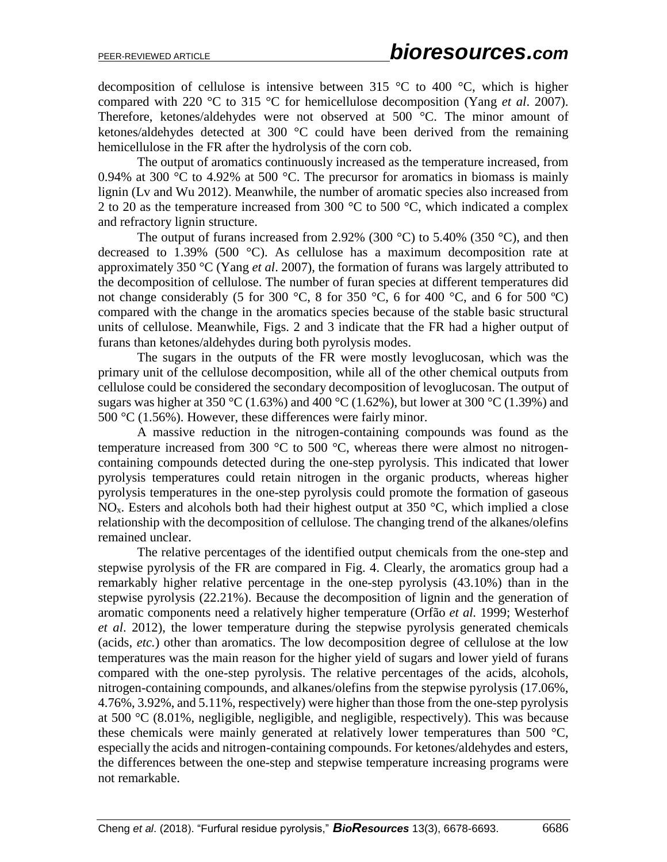decomposition of cellulose is intensive between 315  $\degree$ C to 400  $\degree$ C, which is higher compared with 220 °C to 315 °C for hemicellulose decomposition (Yang *et al*. 2007). Therefore, ketones/aldehydes were not observed at 500 °C. The minor amount of ketones/aldehydes detected at 300 °C could have been derived from the remaining hemicellulose in the FR after the hydrolysis of the corn cob.

The output of aromatics continuously increased as the temperature increased, from 0.94% at 300  $\degree$ C to 4.92% at 500  $\degree$ C. The precursor for aromatics in biomass is mainly lignin (Lv and Wu 2012). Meanwhile, the number of aromatic species also increased from 2 to 20 as the temperature increased from 300  $^{\circ}$ C to 500  $^{\circ}$ C, which indicated a complex and refractory lignin structure.

The output of furans increased from 2.92% (300 °C) to 5.40% (350 °C), and then decreased to 1.39% (500 °C). As cellulose has a maximum decomposition rate at approximately 350 °C (Yang *et al*. 2007), the formation of furans was largely attributed to the decomposition of cellulose. The number of furan species at different temperatures did not change considerably (5 for 300 °C, 8 for 350 °C, 6 for 400 °C, and 6 for 500 °C) compared with the change in the aromatics species because of the stable basic structural units of cellulose. Meanwhile, Figs. 2 and 3 indicate that the FR had a higher output of furans than ketones/aldehydes during both pyrolysis modes.

The sugars in the outputs of the FR were mostly levoglucosan, which was the primary unit of the cellulose decomposition, while all of the other chemical outputs from cellulose could be considered the secondary decomposition of levoglucosan. The output of sugars was higher at 350 °C (1.63%) and 400 °C (1.62%), but lower at 300 °C (1.39%) and 500 °C (1.56%). However, these differences were fairly minor.

A massive reduction in the nitrogen-containing compounds was found as the temperature increased from 300  $\degree$ C to 500  $\degree$ C, whereas there were almost no nitrogencontaining compounds detected during the one-step pyrolysis. This indicated that lower pyrolysis temperatures could retain nitrogen in the organic products, whereas higher pyrolysis temperatures in the one-step pyrolysis could promote the formation of gaseous  $NO<sub>x</sub>$ . Esters and alcohols both had their highest output at 350 °C, which implied a close relationship with the decomposition of cellulose. The changing trend of the alkanes/olefins remained unclear.

The relative percentages of the identified output chemicals from the one-step and stepwise pyrolysis of the FR are compared in Fig. 4. Clearly, the aromatics group had a remarkably higher relative percentage in the one-step pyrolysis (43.10%) than in the stepwise pyrolysis (22.21%). Because the decomposition of lignin and the generation of aromatic components need a relatively higher temperature (Orfão *et al.* 1999; Westerhof *et al*. 2012), the lower temperature during the stepwise pyrolysis generated chemicals (acids, *etc.*) other than aromatics. The low decomposition degree of cellulose at the low temperatures was the main reason for the higher yield of sugars and lower yield of furans compared with the one-step pyrolysis. The relative percentages of the acids, alcohols, nitrogen-containing compounds, and alkanes/olefins from the stepwise pyrolysis (17.06%, 4.76%, 3.92%, and 5.11%, respectively) were higher than those from the one-step pyrolysis at 500 °C (8.01%, negligible, negligible, and negligible, respectively). This was because these chemicals were mainly generated at relatively lower temperatures than 500 °C, especially the acids and nitrogen-containing compounds. For ketones/aldehydes and esters, the differences between the one-step and stepwise temperature increasing programs were not remarkable.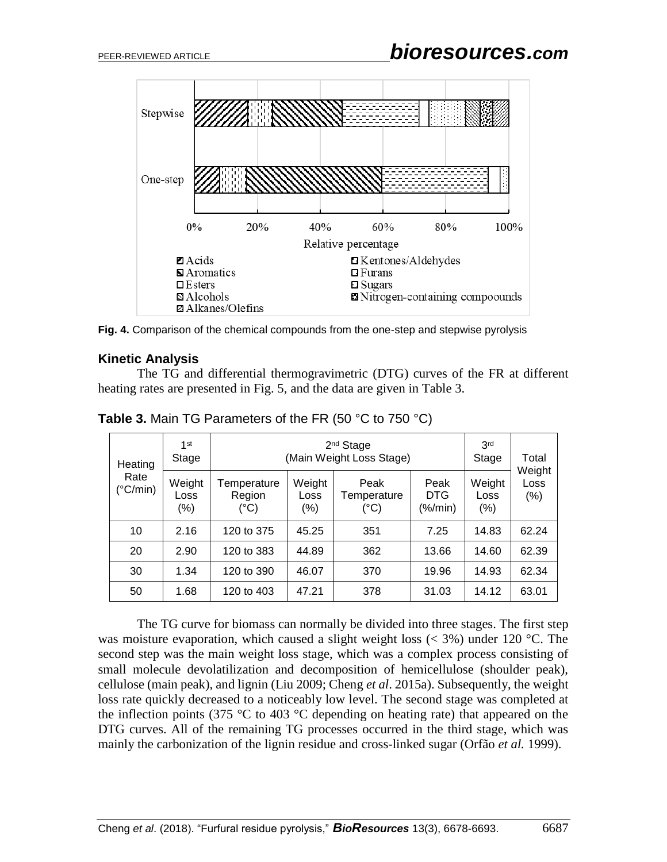

**Fig. 4.** Comparison of the chemical compounds from the one-step and stepwise pyrolysis

#### **Kinetic Analysis**

The TG and differential thermogravimetric (DTG) curves of the FR at different heating rates are presented in Fig. 5, and the data are given in Table 3.

| Heating                   | $1$ st<br>Stage           | 2 <sup>nd</sup> Stage<br>(Main Weight Loss Stage) |                       |                             |                               | 3 <sup>rd</sup><br>Stage | Total                 |
|---------------------------|---------------------------|---------------------------------------------------|-----------------------|-----------------------------|-------------------------------|--------------------------|-----------------------|
| Rate<br>$(^{\circ}C/min)$ | Weight<br>Loss<br>$(\% )$ | Temperature<br>Region<br>(°C)                     | Weight<br>Loss<br>(%) | Peak<br>Temperature<br>(°C) | Peak<br><b>DTG</b><br>(%/min) | Weight<br>Loss<br>(% )   | Weight<br>Loss<br>(%) |
| 10                        | 2.16                      | 120 to 375                                        | 45.25                 | 351                         | 7.25                          | 14.83                    | 62.24                 |
| 20                        | 2.90                      | 120 to 383                                        | 44.89                 | 362                         | 13.66                         | 14.60                    | 62.39                 |
| 30                        | 1.34                      | 120 to 390                                        | 46.07                 | 370                         | 19.96                         | 14.93                    | 62.34                 |
| 50                        | 1.68                      | 120 to 403                                        | 47.21                 | 378                         | 31.03                         | 14.12                    | 63.01                 |

**Table 3.** Main TG Parameters of the FR (50 °C to 750 °C)

The TG curve for biomass can normally be divided into three stages. The first step was moisture evaporation, which caused a slight weight loss  $(< 3\%)$  under 120 °C. The second step was the main weight loss stage, which was a complex process consisting of small molecule devolatilization and decomposition of hemicellulose (shoulder peak), cellulose (main peak), and lignin (Liu 2009; Cheng *et al*. 2015a). Subsequently, the weight loss rate quickly decreased to a noticeably low level. The second stage was completed at the inflection points (375  $\degree$ C to 403  $\degree$ C depending on heating rate) that appeared on the DTG curves. All of the remaining TG processes occurred in the third stage, which was mainly the carbonization of the lignin residue and cross-linked sugar (Orfão *et al.* 1999).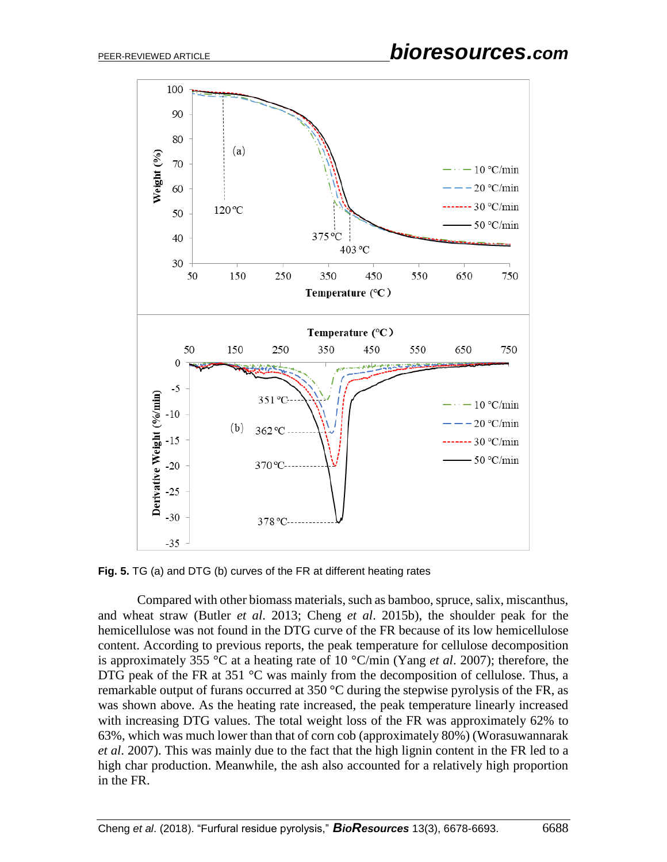

**Fig. 5.** TG (a) and DTG (b) curves of the FR at different heating rates

Compared with other biomass materials, such as bamboo, spruce, salix, miscanthus, and wheat straw (Butler *et al*. 2013; Cheng *et al*. 2015b), the shoulder peak for the hemicellulose was not found in the DTG curve of the FR because of its low hemicellulose content. According to previous reports, the peak temperature for cellulose decomposition is approximately 355 °C at a heating rate of 10 °C/min (Yang *et al*. 2007); therefore, the DTG peak of the FR at 351 °C was mainly from the decomposition of cellulose. Thus, a remarkable output of furans occurred at 350  $\degree$ C during the stepwise pyrolysis of the FR, as was shown above. As the heating rate increased, the peak temperature linearly increased with increasing DTG values. The total weight loss of the FR was approximately 62% to 63%, which was much lower than that of corn cob (approximately 80%) (Worasuwannarak *et al*. 2007). This was mainly due to the fact that the high lignin content in the FR led to a high char production. Meanwhile, the ash also accounted for a relatively high proportion in the FR.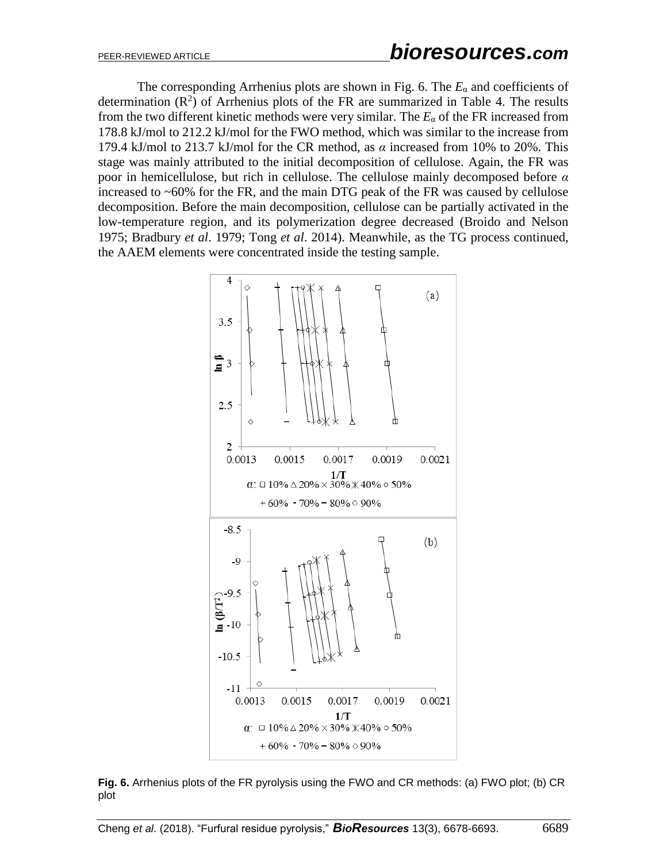The corresponding Arrhenius plots are shown in Fig. 6. The  $E_{\alpha}$  and coefficients of determination  $(R^2)$  of Arrhenius plots of the FR are summarized in Table 4. The results from the two different kinetic methods were very similar. The  $E_{\alpha}$  of the FR increased from 178.8 kJ/mol to 212.2 kJ/mol for the FWO method, which was similar to the increase from 179.4 kJ/mol to 213.7 kJ/mol for the CR method, as  $\alpha$  increased from 10% to 20%. This stage was mainly attributed to the initial decomposition of cellulose. Again, the FR was poor in hemicellulose, but rich in cellulose. The cellulose mainly decomposed before *α* increased to ~60% for the FR, and the main DTG peak of the FR was caused by cellulose decomposition. Before the main decomposition, cellulose can be partially activated in the low-temperature region, and its polymerization degree decreased (Broido and Nelson 1975; Bradbury *et al*. 1979; Tong *et al*. 2014). Meanwhile, as the TG process continued, the AAEM elements were concentrated inside the testing sample.



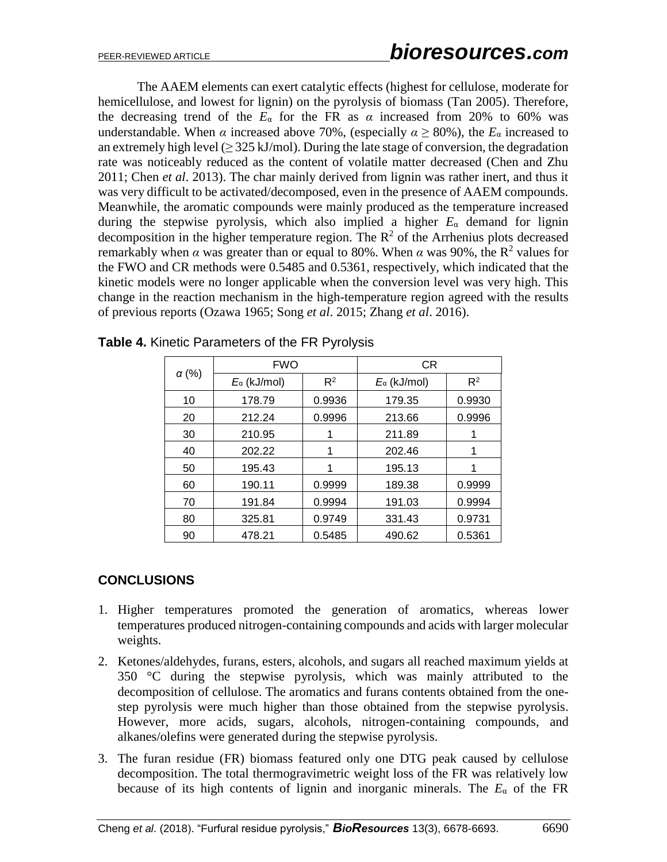The AAEM elements can exert catalytic effects (highest for cellulose, moderate for hemicellulose, and lowest for lignin) on the pyrolysis of biomass (Tan 2005). Therefore, the decreasing trend of the  $E_{\alpha}$  for the FR as  $\alpha$  increased from 20% to 60% was understandable. When  $\alpha$  increased above 70%, (especially  $\alpha \ge 80\%$ ), the  $E_{\alpha}$  increased to an extremely high level  $(≥ 325 \text{ kJ/mol})$ . During the late stage of conversion, the degradation rate was noticeably reduced as the content of volatile matter decreased (Chen and Zhu 2011; Chen *et al*. 2013). The char mainly derived from lignin was rather inert, and thus it was very difficult to be activated/decomposed, even in the presence of AAEM compounds. Meanwhile, the aromatic compounds were mainly produced as the temperature increased during the stepwise pyrolysis, which also implied a higher  $E_\alpha$  demand for lignin decomposition in the higher temperature region. The  $\mathbb{R}^2$  of the Arrhenius plots decreased remarkably when  $\alpha$  was greater than or equal to 80%. When  $\alpha$  was 90%, the R<sup>2</sup> values for the FWO and CR methods were 0.5485 and 0.5361, respectively, which indicated that the kinetic models were no longer applicable when the conversion level was very high. This change in the reaction mechanism in the high-temperature region agreed with the results of previous reports (Ozawa 1965; Song *et al*. 2015; Zhang *et al*. 2016).

|              | <b>FWO</b>            |        | CR                    |        |  |
|--------------|-----------------------|--------|-----------------------|--------|--|
| $\alpha$ (%) | $E_{\alpha}$ (kJ/mol) | $R^2$  | $E_{\alpha}$ (kJ/mol) | $R^2$  |  |
| 10           | 178.79                | 0.9936 | 179.35                | 0.9930 |  |
| 20           | 212.24                | 0.9996 | 213.66                | 0.9996 |  |
| 30           | 210.95                |        | 211.89                |        |  |
| 40           | 202.22                |        | 202.46                |        |  |
| 50           | 195.43                |        | 195.13                |        |  |
| 60           | 190.11                | 0.9999 | 189.38                | 0.9999 |  |
| 70           | 191.84                | 0.9994 | 191.03                | 0.9994 |  |
| 80           | 325.81                | 0.9749 | 331.43                | 0.9731 |  |
| 90           | 478.21                | 0.5485 | 490.62                | 0.5361 |  |

**Table 4.** Kinetic Parameters of the FR Pyrolysis

## **CONCLUSIONS**

- 1. Higher temperatures promoted the generation of aromatics, whereas lower temperatures produced nitrogen-containing compounds and acids with larger molecular weights.
- 2. Ketones/aldehydes, furans, esters, alcohols, and sugars all reached maximum yields at 350 °C during the stepwise pyrolysis, which was mainly attributed to the decomposition of cellulose. The aromatics and furans contents obtained from the onestep pyrolysis were much higher than those obtained from the stepwise pyrolysis. However, more acids, sugars, alcohols, nitrogen-containing compounds, and alkanes/olefins were generated during the stepwise pyrolysis.
- 3. The furan residue (FR) biomass featured only one DTG peak caused by cellulose decomposition. The total thermogravimetric weight loss of the FR was relatively low because of its high contents of lignin and inorganic minerals. The  $E_{\alpha}$  of the FR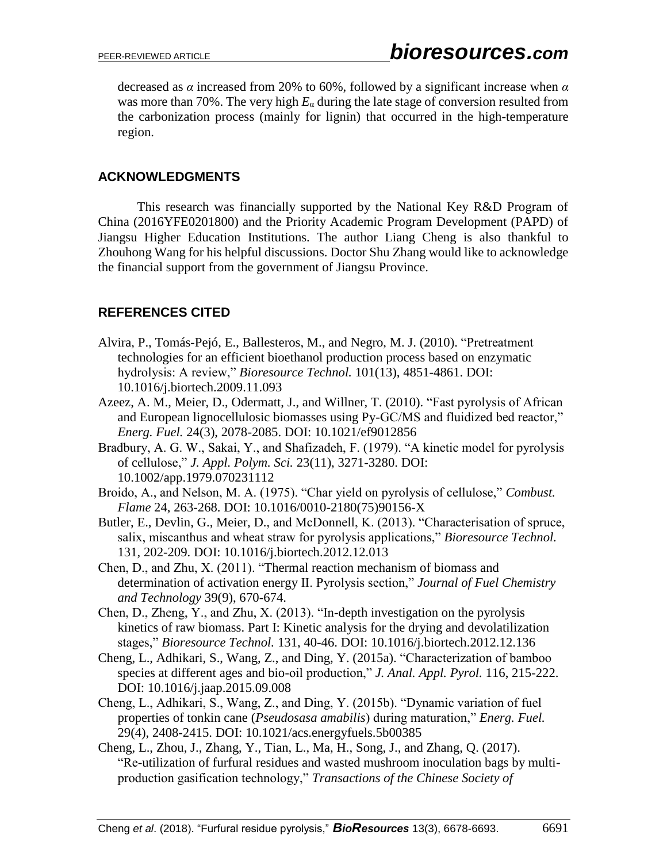decreased as *α* increased from 20% to 60%, followed by a significant increase when *α* was more than 70%. The very high  $E_\alpha$  during the late stage of conversion resulted from the carbonization process (mainly for lignin) that occurred in the high-temperature region.

## **ACKNOWLEDGMENTS**

This research was financially supported by the National Key R&D Program of China (2016YFE0201800) and the Priority Academic Program Development (PAPD) of Jiangsu Higher Education Institutions. The author Liang Cheng is also thankful to Zhouhong Wang for his helpful discussions. Doctor Shu Zhang would like to acknowledge the financial support from the government of Jiangsu Province.

## **REFERENCES CITED**

- Alvira, P., Tomás-Pejó, E., Ballesteros, M., and Negro, M. J. (2010). "Pretreatment technologies for an efficient bioethanol production process based on enzymatic hydrolysis: A review," *Bioresource Technol.* 101(13), 4851-4861. DOI: 10.1016/j.biortech.2009.11.093
- Azeez, A. M., Meier, D., Odermatt, J., and Willner, T. (2010). "Fast pyrolysis of African and European lignocellulosic biomasses using Py-GC/MS and fluidized bed reactor," *Energ. Fuel.* 24(3), 2078-2085. DOI: 10.1021/ef9012856
- Bradbury, A. G. W., Sakai, Y., and Shafizadeh, F. (1979). "A kinetic model for pyrolysis of cellulose," *J. Appl. Polym. Sci.* 23(11), 3271-3280. DOI: 10.1002/app.1979.070231112
- Broido, A., and Nelson, M. A. (1975). "Char yield on pyrolysis of cellulose," *Combust. Flame* 24, 263-268. DOI: 10.1016/0010-2180(75)90156-X
- Butler, E., Devlin, G., Meier, D., and McDonnell, K. (2013). "Characterisation of spruce, salix, miscanthus and wheat straw for pyrolysis applications," *Bioresource Technol.*  131, 202-209. DOI: 10.1016/j.biortech.2012.12.013
- Chen, D., and Zhu, X. (2011). "Thermal reaction mechanism of biomass and determination of activation energy Ⅱ. Pyrolysis section," *Journal of Fuel Chemistry and Technology* 39(9), 670-674.
- Chen, D., Zheng, Y., and Zhu, X. (2013). "In-depth investigation on the pyrolysis kinetics of raw biomass. Part I: Kinetic analysis for the drying and devolatilization stages," *Bioresource Technol.* 131, 40-46. DOI: 10.1016/j.biortech.2012.12.136
- Cheng, L., Adhikari, S., Wang, Z., and Ding, Y. (2015a). "Characterization of bamboo species at different ages and bio-oil production," *J. Anal. Appl. Pyrol.* 116, 215-222. DOI: 10.1016/j.jaap.2015.09.008
- Cheng, L., Adhikari, S., Wang, Z., and Ding, Y. (2015b). "Dynamic variation of fuel properties of tonkin cane (*Pseudosasa amabilis*) during maturation," *Energ. Fuel.* 29(4), 2408-2415. DOI: 10.1021/acs.energyfuels.5b00385
- Cheng, L., Zhou, J., Zhang, Y., Tian, L., Ma, H., Song, J., and Zhang, Q. (2017). "Re-utilization of furfural residues and wasted mushroom inoculation bags by multiproduction gasification technology," *Transactions of the Chinese Society of*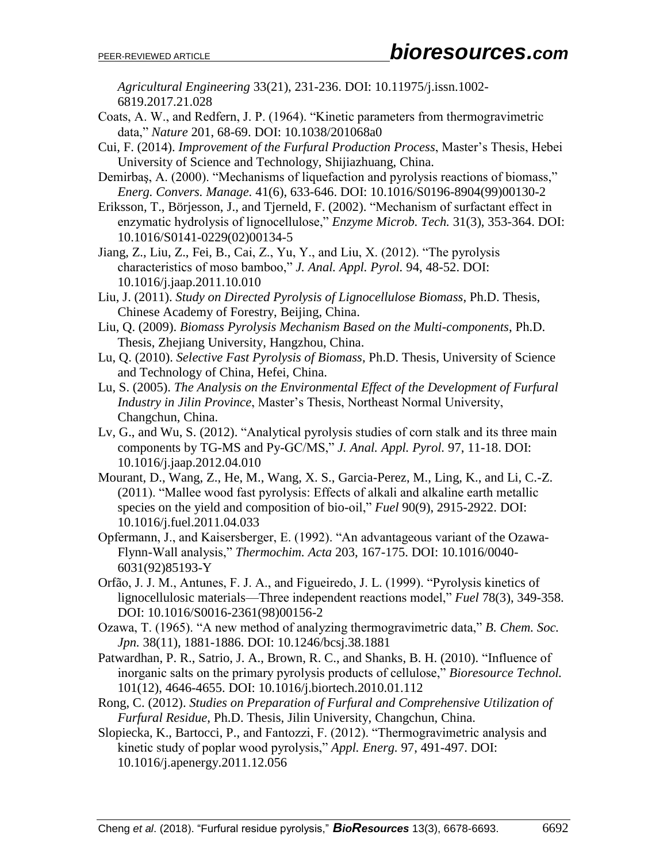*Agricultural Engineering* 33(21), 231-236. DOI: 10.11975/j.issn.1002- 6819.2017.21.028

- Coats, A. W., and Redfern, J. P. (1964). "Kinetic parameters from thermogravimetric data," *Nature* 201, 68-69. DOI: 10.1038/201068a0
- Cui, F. (2014). *Improvement of the Furfural Production Process*, Master's Thesis, Hebei University of Science and Technology, Shijiazhuang, China.
- Demirbaş, A. (2000). "Mechanisms of liquefaction and pyrolysis reactions of biomass," *Energ. Convers. Manage.* 41(6), 633-646. DOI: 10.1016/S0196-8904(99)00130-2
- Eriksson, T., Börjesson, J., and Tjerneld, F. (2002). "Mechanism of surfactant effect in enzymatic hydrolysis of lignocellulose," *Enzyme Microb. Tech.* 31(3), 353-364. DOI: 10.1016/S0141-0229(02)00134-5
- Jiang, Z., Liu, Z., Fei, B., Cai, Z., Yu, Y., and Liu, X. (2012). "The pyrolysis characteristics of moso bamboo," *J. Anal. Appl. Pyrol.* 94, 48-52. DOI: 10.1016/j.jaap.2011.10.010
- Liu, J. (2011). *Study on Directed Pyrolysis of Lignocellulose Biomass*, Ph.D. Thesis, Chinese Academy of Forestry, Beijing, China.
- Liu, Q. (2009). *Biomass Pyrolysis Mechanism Based on the Multi-components*, Ph.D. Thesis, Zhejiang University, Hangzhou, China.
- Lu, Q. (2010). *Selective Fast Pyrolysis of Biomass*, Ph.D. Thesis, University of Science and Technology of China, Hefei, China.
- Lu, S. (2005). *The Analysis on the Environmental Effect of the Development of Furfural Industry in Jilin Province*, Master's Thesis, Northeast Normal University, Changchun, China.
- Lv, G., and Wu, S. (2012). "Analytical pyrolysis studies of corn stalk and its three main components by TG-MS and Py-GC/MS," *J. Anal. Appl. Pyrol.* 97, 11-18. DOI: 10.1016/j.jaap.2012.04.010
- Mourant, D., Wang, Z., He, M., Wang, X. S., Garcia-Perez, M., Ling, K., and Li, C.-Z. (2011). "Mallee wood fast pyrolysis: Effects of alkali and alkaline earth metallic species on the yield and composition of bio-oil," *Fuel* 90(9), 2915-2922. DOI: 10.1016/j.fuel.2011.04.033
- Opfermann, J., and Kaisersberger, E. (1992). "An advantageous variant of the Ozawa-Flynn-Wall analysis," *Thermochim. Acta* 203, 167-175. DOI: 10.1016/0040- 6031(92)85193-Y
- Orfão, J. J. M., Antunes, F. J. A., and Figueiredo, J. L. (1999). "Pyrolysis kinetics of lignocellulosic materials—Three independent reactions model," *Fuel* 78(3), 349-358. DOI: 10.1016/S0016-2361(98)00156-2
- Ozawa, T. (1965). "A new method of analyzing thermogravimetric data," *B. Chem. Soc. Jpn.* 38(11), 1881-1886. DOI: 10.1246/bcsj.38.1881
- Patwardhan, P. R., Satrio, J. A., Brown, R. C., and Shanks, B. H. (2010). "Influence of inorganic salts on the primary pyrolysis products of cellulose," *Bioresource Technol.* 101(12), 4646-4655. DOI: 10.1016/j.biortech.2010.01.112
- Rong, C. (2012). *Studies on Preparation of Furfural and Comprehensive Utilization of Furfural Residue*, Ph.D. Thesis, Jilin University, Changchun, China.
- Slopiecka, K., Bartocci, P., and Fantozzi, F. (2012). "Thermogravimetric analysis and kinetic study of poplar wood pyrolysis," *Appl. Energ.* 97, 491-497. DOI: 10.1016/j.apenergy.2011.12.056